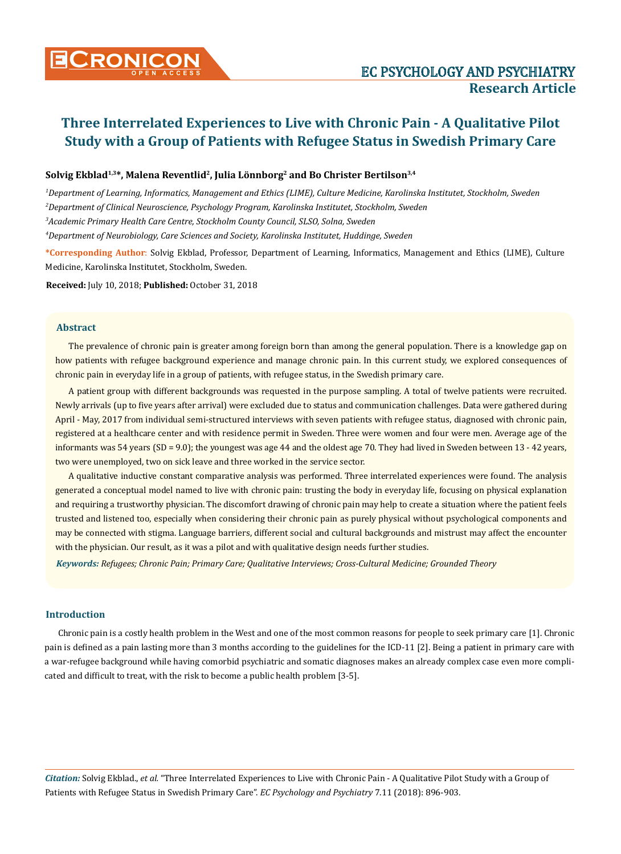# Solvig Ekblad<sup>1,3\*</sup>, Malena Reventlid<sup>2</sup>, Julia Lönnborg<sup>2</sup> and Bo Christer Bertilson<sup>3,4</sup>

*1 Department of Learning, Informatics, Management and Ethics (LIME), Culture Medicine, Karolinska Institutet, Stockholm, Sweden 2 Department of Clinical Neuroscience, Psychology Program, Karolinska Institutet, Stockholm, Sweden 3 Academic Primary Health Care Centre, Stockholm County Council, SLSO, Solna, Sweden*

*4 Department of Neurobiology, Care Sciences and Society, Karolinska Institutet, Huddinge, Sweden*

**\*Corresponding Author**: Solvig Ekblad, Professor, Department of Learning, Informatics, Management and Ethics (LIME), Culture Medicine, Karolinska Institutet, Stockholm, Sweden.

**Received:** July 10, 2018; **Published:** October 31, 2018

# **Abstract**

The prevalence of chronic pain is greater among foreign born than among the general population. There is a knowledge gap on how patients with refugee background experience and manage chronic pain. In this current study, we explored consequences of chronic pain in everyday life in a group of patients, with refugee status, in the Swedish primary care.

A patient group with different backgrounds was requested in the purpose sampling. A total of twelve patients were recruited. Newly arrivals (up to five years after arrival) were excluded due to status and communication challenges. Data were gathered during April - May, 2017 from individual semi-structured interviews with seven patients with refugee status, diagnosed with chronic pain, registered at a healthcare center and with residence permit in Sweden. Three were women and four were men. Average age of the informants was 54 years (SD = 9.0); the youngest was age 44 and the oldest age 70. They had lived in Sweden between 13 - 42 years, two were unemployed, two on sick leave and three worked in the service sector.

A qualitative inductive constant comparative analysis was performed. Three interrelated experiences were found. The analysis generated a conceptual model named to live with chronic pain: trusting the body in everyday life, focusing on physical explanation and requiring a trustworthy physician. The discomfort drawing of chronic pain may help to create a situation where the patient feels trusted and listened too, especially when considering their chronic pain as purely physical without psychological components and may be connected with stigma. Language barriers, different social and cultural backgrounds and mistrust may affect the encounter with the physician. Our result, as it was a pilot and with qualitative design needs further studies.

*Keywords: Refugees; Chronic Pain; Primary Care; Qualitative Interviews; Cross-Cultural Medicine; Grounded Theory*

## **Introduction**

Chronic pain is a costly health problem in the West and one of the most common reasons for people to seek primary care [1]. Chronic pain is defined as a pain lasting more than 3 months according to the guidelines for the ICD-11 [2]. Being a patient in primary care with a war-refugee background while having comorbid psychiatric and somatic diagnoses makes an already complex case even more complicated and difficult to treat, with the risk to become a public health problem [3-5].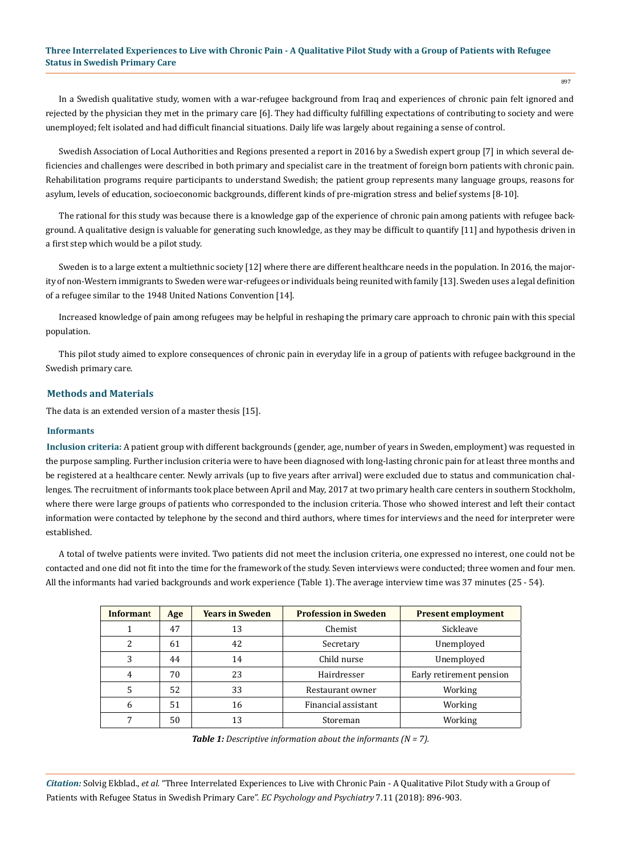In a Swedish qualitative study, women with a war-refugee background from Iraq and experiences of chronic pain felt ignored and rejected by the physician they met in the primary care [6]. They had difficulty fulfilling expectations of contributing to society and were unemployed; felt isolated and had difficult financial situations. Daily life was largely about regaining a sense of control.

Swedish Association of Local Authorities and Regions presented a report in 2016 by a Swedish expert group [7] in which several deficiencies and challenges were described in both primary and specialist care in the treatment of foreign born patients with chronic pain. Rehabilitation programs require participants to understand Swedish; the patient group represents many language groups, reasons for asylum, levels of education, socioeconomic backgrounds, different kinds of pre-migration stress and belief systems [8-10].

The rational for this study was because there is a knowledge gap of the experience of chronic pain among patients with refugee background. A qualitative design is valuable for generating such knowledge, as they may be difficult to quantify [11] and hypothesis driven in a first step which would be a pilot study.

Sweden is to a large extent a multiethnic society [12] where there are different healthcare needs in the population. In 2016, the majority of non-Western immigrants to Sweden were war-refugees or individuals being reunited with family [13]. Sweden uses a legal definition of a refugee similar to the 1948 United Nations Convention [14].

Increased knowledge of pain among refugees may be helpful in reshaping the primary care approach to chronic pain with this special population.

This pilot study aimed to explore consequences of chronic pain in everyday life in a group of patients with refugee background in the Swedish primary care.

# **Methods and Materials**

The data is an extended version of a master thesis [15].

#### **Informants**

**Inclusion criteria:** A patient group with different backgrounds (gender, age, number of years in Sweden, employment) was requested in the purpose sampling. Further inclusion criteria were to have been diagnosed with long-lasting chronic pain for at least three months and be registered at a healthcare center. Newly arrivals (up to five years after arrival) were excluded due to status and communication challenges. The recruitment of informants took place between April and May, 2017 at two primary health care centers in southern Stockholm, where there were large groups of patients who corresponded to the inclusion criteria. Those who showed interest and left their contact information were contacted by telephone by the second and third authors, where times for interviews and the need for interpreter were established.

A total of twelve patients were invited. Two patients did not meet the inclusion criteria, one expressed no interest, one could not be contacted and one did not fit into the time for the framework of the study. Seven interviews were conducted; three women and four men. All the informants had varied backgrounds and work experience (Table 1). The average interview time was 37 minutes (25 - 54).

| Informant | Age | <b>Years in Sweden</b> | <b>Profession in Sweden</b> | <b>Present employment</b> |
|-----------|-----|------------------------|-----------------------------|---------------------------|
|           | 47  | 13                     | Chemist                     | Sickleave                 |
| 2         | 61  | 42                     | Secretary                   | Unemployed                |
| 3         | 44  | 14                     | Child nurse                 | Unemployed                |
| 4         | 70  | 23                     | Hairdresser                 | Early retirement pension  |
| 5         | 52  | 33                     | Restaurant owner            | Working                   |
| 6         | 51  | 16                     | Financial assistant         | Working                   |
|           | 50  | 13                     | Storeman                    | Working                   |

*Table 1: Descriptive information about the informants (N = 7).*

*Citation:* Solvig Ekblad., *et al.* "Three Interrelated Experiences to Live with Chronic Pain - A Qualitative Pilot Study with a Group of Patients with Refugee Status in Swedish Primary Care". *EC Psychology and Psychiatry* 7.11 (2018): 896-903.

897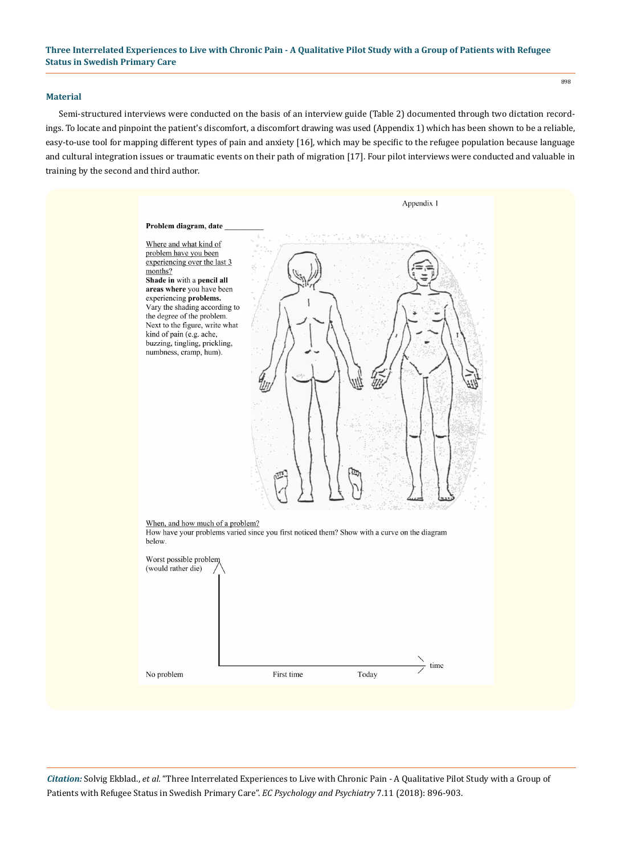#### **Material**

Semi-structured interviews were conducted on the basis of an interview guide (Table 2) documented through two dictation recordings. To locate and pinpoint the patient's discomfort, a discomfort drawing was used (Appendix 1) which has been shown to be a reliable, easy-to-use tool for mapping different types of pain and anxiety [16], which may be specific to the refugee population because language and cultural integration issues or traumatic events on their path of migration [17]. Four pilot interviews were conducted and valuable in training by the second and third author.

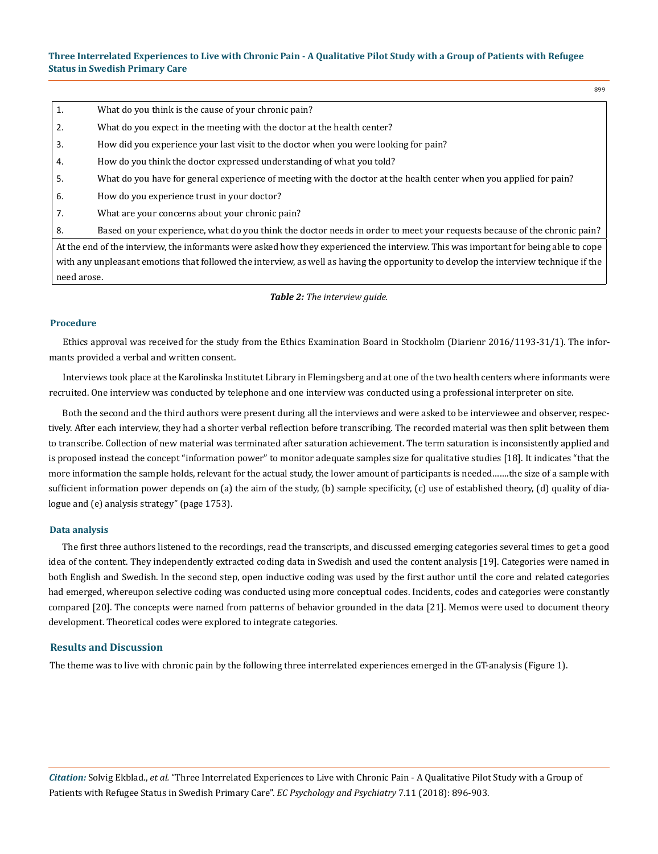1. What do you think is the cause of your chronic pain?

2. What do you expect in the meeting with the doctor at the health center?

3. How did you experience your last visit to the doctor when you were looking for pain?

4. How do you think the doctor expressed understanding of what you told?

5. What do you have for general experience of meeting with the doctor at the health center when you applied for pain?

- 6. How do you experience trust in your doctor?
- 7. What are your concerns about your chronic pain?

8. Based on your experience, what do you think the doctor needs in order to meet your requests because of the chronic pain?

At the end of the interview, the informants were asked how they experienced the interview. This was important for being able to cope with any unpleasant emotions that followed the interview, as well as having the opportunity to develop the interview technique if the need arose.

*Table 2: The interview guide.*

#### **Procedure**

Ethics approval was received for the study from the Ethics Examination Board in Stockholm (Diarienr 2016/1193-31/1). The informants provided a verbal and written consent.

Interviews took place at the Karolinska Institutet Library in Flemingsberg and at one of the two health centers where informants were recruited. One interview was conducted by telephone and one interview was conducted using a professional interpreter on site.

Both the second and the third authors were present during all the interviews and were asked to be interviewee and observer, respectively. After each interview, they had a shorter verbal reflection before transcribing. The recorded material was then split between them to transcribe. Collection of new material was terminated after saturation achievement. The term saturation is inconsistently applied and is proposed instead the concept "information power" to monitor adequate samples size for qualitative studies [18]. It indicates "that the more information the sample holds, relevant for the actual study, the lower amount of participants is needed…….the size of a sample with sufficient information power depends on (a) the aim of the study, (b) sample specificity, (c) use of established theory, (d) quality of dialogue and (e) analysis strategy" (page 1753).

#### **Data analysis**

The first three authors listened to the recordings, read the transcripts, and discussed emerging categories several times to get a good idea of the content. They independently extracted coding data in Swedish and used the content analysis [19]. Categories were named in both English and Swedish. In the second step, open inductive coding was used by the first author until the core and related categories had emerged, whereupon selective coding was conducted using more conceptual codes. Incidents, codes and categories were constantly compared [20]. The concepts were named from patterns of behavior grounded in the data [21]. Memos were used to document theory development. Theoretical codes were explored to integrate categories.

## **Results and Discussion**

The theme was to live with chronic pain by the following three interrelated experiences emerged in the GT-analysis (Figure 1).

*Citation:* Solvig Ekblad., *et al.* "Three Interrelated Experiences to Live with Chronic Pain - A Qualitative Pilot Study with a Group of Patients with Refugee Status in Swedish Primary Care". *EC Psychology and Psychiatry* 7.11 (2018): 896-903.

899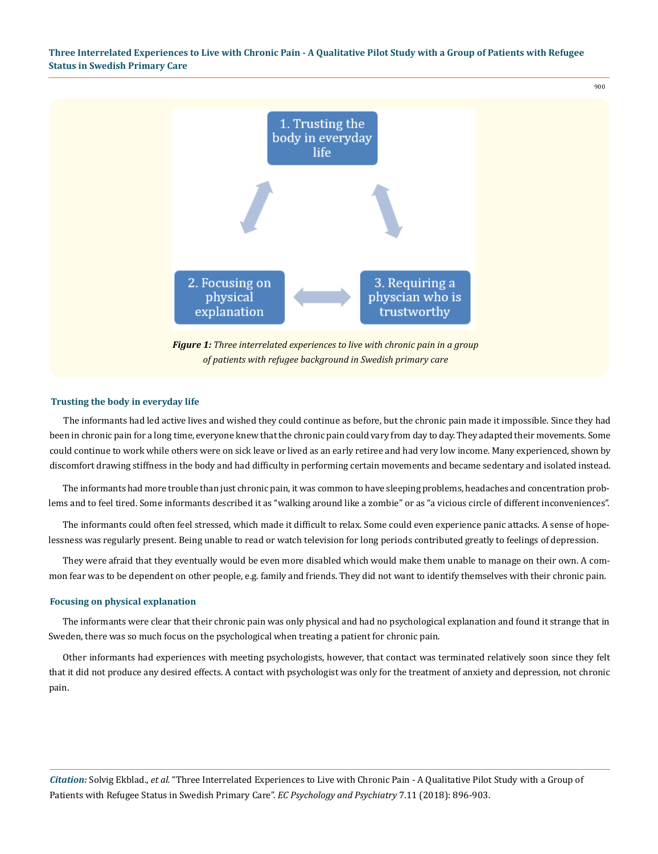

## **Trusting the body in everyday life**

The informants had led active lives and wished they could continue as before, but the chronic pain made it impossible. Since they had been in chronic pain for a long time, everyone knew that the chronic pain could vary from day to day. They adapted their movements. Some could continue to work while others were on sick leave or lived as an early retiree and had very low income. Many experienced, shown by discomfort drawing stiffness in the body and had difficulty in performing certain movements and became sedentary and isolated instead.

The informants had more trouble than just chronic pain, it was common to have sleeping problems, headaches and concentration problems and to feel tired. Some informants described it as "walking around like a zombie" or as "a vicious circle of different inconveniences".

The informants could often feel stressed, which made it difficult to relax. Some could even experience panic attacks. A sense of hopelessness was regularly present. Being unable to read or watch television for long periods contributed greatly to feelings of depression.

They were afraid that they eventually would be even more disabled which would make them unable to manage on their own. A common fear was to be dependent on other people, e.g. family and friends. They did not want to identify themselves with their chronic pain.

## **Focusing on physical explanation**

The informants were clear that their chronic pain was only physical and had no psychological explanation and found it strange that in Sweden, there was so much focus on the psychological when treating a patient for chronic pain.

Other informants had experiences with meeting psychologists, however, that contact was terminated relatively soon since they felt that it did not produce any desired effects. A contact with psychologist was only for the treatment of anxiety and depression, not chronic pain.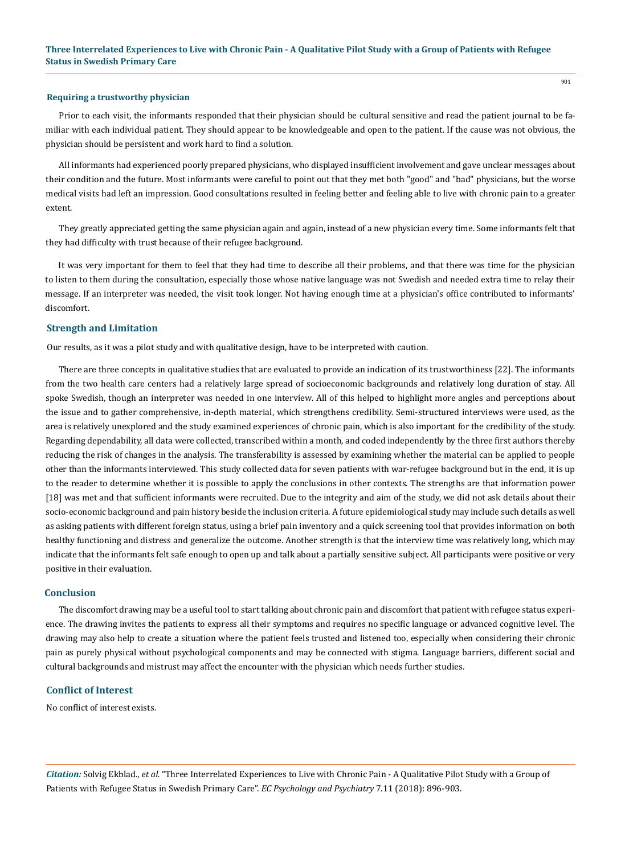#### **Requiring a trustworthy physician**

Prior to each visit, the informants responded that their physician should be cultural sensitive and read the patient journal to be familiar with each individual patient. They should appear to be knowledgeable and open to the patient. If the cause was not obvious, the physician should be persistent and work hard to find a solution.

All informants had experienced poorly prepared physicians, who displayed insufficient involvement and gave unclear messages about their condition and the future. Most informants were careful to point out that they met both "good" and "bad" physicians, but the worse medical visits had left an impression. Good consultations resulted in feeling better and feeling able to live with chronic pain to a greater extent.

They greatly appreciated getting the same physician again and again, instead of a new physician every time. Some informants felt that they had difficulty with trust because of their refugee background.

It was very important for them to feel that they had time to describe all their problems, and that there was time for the physician to listen to them during the consultation, especially those whose native language was not Swedish and needed extra time to relay their message. If an interpreter was needed, the visit took longer. Not having enough time at a physician's office contributed to informants' discomfort.

## **Strength and Limitation**

Our results, as it was a pilot study and with qualitative design, have to be interpreted with caution.

There are three concepts in qualitative studies that are evaluated to provide an indication of its trustworthiness [22]. The informants from the two health care centers had a relatively large spread of socioeconomic backgrounds and relatively long duration of stay. All spoke Swedish, though an interpreter was needed in one interview. All of this helped to highlight more angles and perceptions about the issue and to gather comprehensive, in-depth material, which strengthens credibility. Semi-structured interviews were used, as the area is relatively unexplored and the study examined experiences of chronic pain, which is also important for the credibility of the study. Regarding dependability, all data were collected, transcribed within a month, and coded independently by the three first authors thereby reducing the risk of changes in the analysis. The transferability is assessed by examining whether the material can be applied to people other than the informants interviewed. This study collected data for seven patients with war-refugee background but in the end, it is up to the reader to determine whether it is possible to apply the conclusions in other contexts. The strengths are that information power [18] was met and that sufficient informants were recruited. Due to the integrity and aim of the study, we did not ask details about their socio-economic background and pain history beside the inclusion criteria. A future epidemiological study may include such details as well as asking patients with different foreign status, using a brief pain inventory and a quick screening tool that provides information on both healthy functioning and distress and generalize the outcome. Another strength is that the interview time was relatively long, which may indicate that the informants felt safe enough to open up and talk about a partially sensitive subject. All participants were positive or very positive in their evaluation.

## **Conclusion**

The discomfort drawing may be a useful tool to start talking about chronic pain and discomfort that patient with refugee status experience. The drawing invites the patients to express all their symptoms and requires no specific language or advanced cognitive level. The drawing may also help to create a situation where the patient feels trusted and listened too, especially when considering their chronic pain as purely physical without psychological components and may be connected with stigma. Language barriers, different social and cultural backgrounds and mistrust may affect the encounter with the physician which needs further studies.

## **Conflict of Interest**

No conflict of interest exists.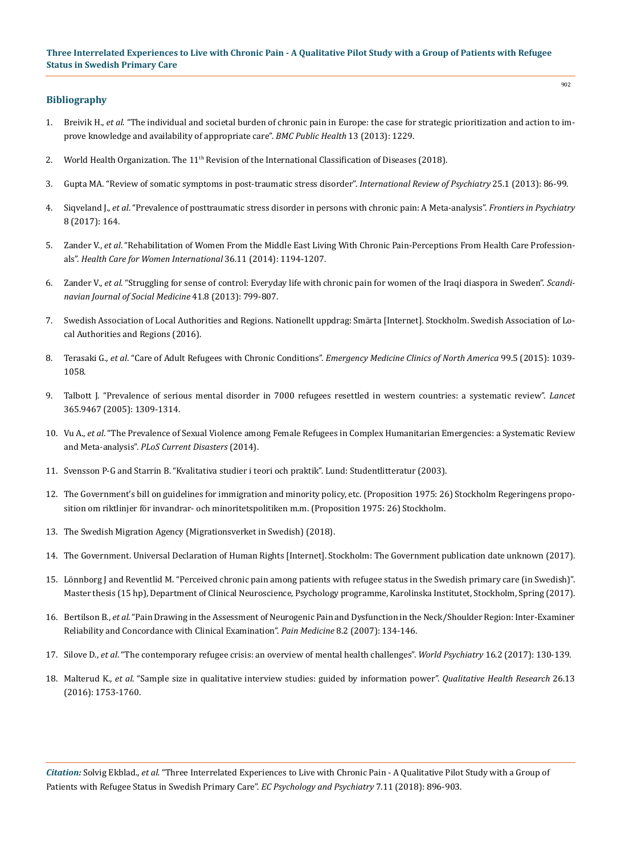# **Bibliography**

- 1. Breivik H., *et al*[. "The individual and societal burden of chronic pain in Europe: the case for strategic prioritization and action to im](https://www.ncbi.nlm.nih.gov/pubmed/24365383)[prove knowledge and availability of appropriate care".](https://www.ncbi.nlm.nih.gov/pubmed/24365383) *BMC Public Health* 13 (2013): 1229.
- 2. World Health Organization. The  $11<sup>th</sup>$  [Revision of the International Classification of Diseases \(2018\).](http://www.who.int/classifications/icd/revision/en/)
- 3. [Gupta MA. "Review of somatic symptoms in post-traumatic stress disorder".](https://www.ncbi.nlm.nih.gov/pubmed/23383670) *International Review of Psychiatry* 25.1 (2013): 86-99.
- 4. Siqveland J., *et al*[. "Prevalence of posttraumatic stress disorder in persons with chronic pain: A Meta-analysis".](https://www.ncbi.nlm.nih.gov/pubmed/28959216) *Frontiers in Psychiatry* [8 \(2017\): 164.](https://www.ncbi.nlm.nih.gov/pubmed/28959216)
- 5. Zander V., *et al*[. "Rehabilitation of Women From the Middle East Living With Chronic Pain-Perceptions From Health Care Profession](https://www.tandfonline.com/doi/abs/10.1080/07399332.2014.989439?journalCode=uhcw20)als". *[Health Care for Women International](https://www.tandfonline.com/doi/abs/10.1080/07399332.2014.989439?journalCode=uhcw20)* 36.11 (2014): 1194-1207.
- 6. Zander V., *et al*[. "Struggling for sense of control: Everyday life with chronic pain for women of the Iraqi diaspora in Sweden".](https://www.ncbi.nlm.nih.gov/pubmed/23761934) *Scandi[navian Journal of Social Medicine](https://www.ncbi.nlm.nih.gov/pubmed/23761934)* 41.8 (2013): 799-807.
- 7. [Swedish Association of Local Authorities and Regions. Nationellt uppdrag: Smärta \[Internet\]. Stockholm. Swedish Association of Lo](http://webbutik.skl.se/bilder/artiklar/pdf/7585-444-1.pdf?issuusl=ignore)[cal Authorities and Regions \(2016\).](http://webbutik.skl.se/bilder/artiklar/pdf/7585-444-1.pdf?issuusl=ignore)
- 8. Terasaki G., *et al*. "Care of Adult Refugees with Chronic Conditions". *[Emergency Medicine Clinics of North America](https://www.ncbi.nlm.nih.gov/pubmed/26320045)* 99.5 (2015): 1039- [1058.](https://www.ncbi.nlm.nih.gov/pubmed/26320045)
- 9. [Talbott J. "Prevalence of serious mental disorder in 7000 refugees resettled in western countries: a systematic review".](https://www.ncbi.nlm.nih.gov/pubmed/15823380) *Lancet* [365.9467 \(2005\): 1309-1314.](https://www.ncbi.nlm.nih.gov/pubmed/15823380)
- 10. Vu A., *et al*[. "The Prevalence of Sexual Violence among Female Refugees in Complex Humanitarian Emergencies: a Systematic Review](https://www.ncbi.nlm.nih.gov/pubmed/24818066) and Meta-analysis". *[PLoS Current Disasters](https://www.ncbi.nlm.nih.gov/pubmed/24818066)* (2014).
- 11. [Svensson P-G and Starrin B. "Kvalitativa studier i teori och praktik". Lund: Studentlitteratur \(2003\).](https://www.bokus.com/bok/9789144398518/kvalitativa-studier-i-teori-och-praktik/)
- 12. [The Government's bill on guidelines for immigration and minority policy, etc. \(Proposition 1975: 26\) Stockholm Regeringens propo](http://www.riksdagen.se/sv/dokument-lagar/dokument/proposition/regeringens-proposition-om-riktlinjer-for_FY0326/html)[sition om riktlinjer för invandrar- och minoritetspolitiken m.m. \(Proposition 1975: 26\) Stockholm.](http://www.riksdagen.se/sv/dokument-lagar/dokument/proposition/regeringens-proposition-om-riktlinjer-for_FY0326/html)
- 13. [The Swedish Migration Agency \(Migrationsverket in Swedish\) \(2018\).](http://www.migrationsverket.se)
- 14. [The Government. Universal Declaration of Human Rights \[Internet\]. Stockholm: The Government publication date unknown \(2017\).](http://www.manskligarattigheter.se/sv/vem-gor-vad/forenta-nationerna/fn-s-allmanna-forklaring)
- 15. Lönnborg J and Reventlid M. "Perceived chronic pain among patients with refugee status in the Swedish primary care (in Swedish)". Master thesis (15 hp), Department of Clinical Neuroscience, Psychology programme, Karolinska Institutet, Stockholm, Spring (2017).
- 16. Bertilson B., *et al*[. "Pain Drawing in the Assessment of Neurogenic Pain and Dysfunction in the Neck/Shoulder Region: Inter-Examiner](https://www.ncbi.nlm.nih.gov/pubmed/17305685) [Reliability and Concordance with Clinical Examination".](https://www.ncbi.nlm.nih.gov/pubmed/17305685) *Pain Medicine* 8.2 (2007): 134-146.
- 17. Silove D., *et al*[. "The contemporary refugee crisis: an overview of mental health challenges".](https://www.ncbi.nlm.nih.gov/pubmed/28498581) *World Psychiatry* 16.2 (2017): 130-139.
- 18. Malterud K., *et al*[. "Sample size in qualitative interview studies: guided by information power".](https://www.ncbi.nlm.nih.gov/pubmed/26613970) *Qualitative Health Research* 26.13 [\(2016\): 1753-1760.](https://www.ncbi.nlm.nih.gov/pubmed/26613970)